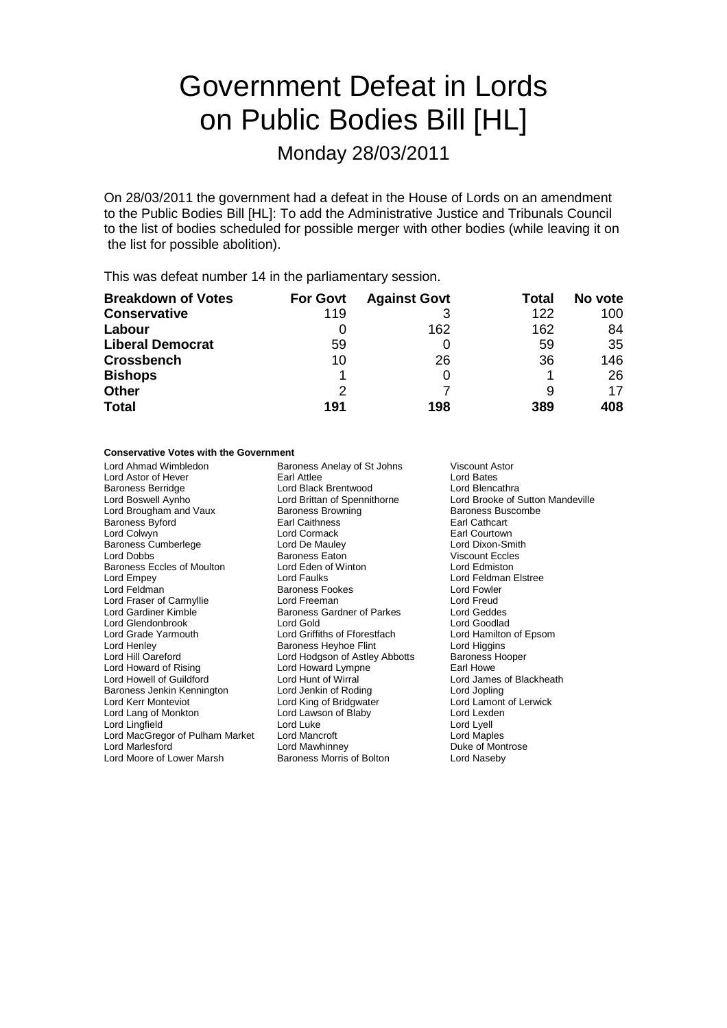# Government Defeat in Lords on Public Bodies Bill [HL]

Monday 28/03/2011

On 28/03/2011 the government had a defeat in the House of Lords on an amendment to the Public Bodies Bill [HL]: To add the Administrative Justice and Tribunals Council to the list of bodies scheduled for possible merger with other bodies (while leaving it on the list for possible abolition).

This was defeat number 14 in the parliamentary session.

| <b>Breakdown of Votes</b> | <b>For Govt</b> | <b>Against Govt</b> | Total | No vote |
|---------------------------|-----------------|---------------------|-------|---------|
| <b>Conservative</b>       | 119             |                     | 122   | 100     |
| Labour                    |                 | 162                 | 162   | 84      |
| <b>Liberal Democrat</b>   | 59              |                     | 59    | -35     |
| <b>Crossbench</b>         | 10              | 26                  | 36    | 146     |
| <b>Bishops</b>            |                 |                     |       | 26      |
| <b>Other</b>              | 2               |                     |       | 17      |
| <b>Total</b>              | 191             | 198                 | 389   | 408     |

### **Conservative Votes with the Government**

Lord Ahmad Wimbledon **Baroness Anelay of St Johns** Viscount Astor<br>
Lord Astor of Hever **Baroness Atliee Baroness Atliee** Lord Bates Lord Astor of Hever **Earl Attlee** Lord Bates<br> **Earl Attlee** Lord Black Brentwood **Earl Attlee** Lord Blencathra Baroness Berridge **Lord Black Brentwood**<br>
Lord Boswell Aynho<br>
Lord Brittan of Spennithorne Lord Brooke of Sutton Mandeville Lord Brougham and Vaux Baroness Browning Baroness Buscombe<br>Baroness Byford Baroness Browning Baroness Baroness Buscombe Baroness Byford Lord Colwyn **Communist Collect Lord Cormack** Earl Courtown<br>
Baroness Cumberlege **Consumer Corporation**<br>
Lord Dixon-Smith Baroness Cumberlege Lord De Mauley Marchael Lord Dixon-Smitherd Dixon-Smitherd Dixon-Smitherd Baroness Eaton Niscount Eccles Exercise Baroness Eaton **Viscount Eccle**<br> **Lord Eden of Winton Viscount Eccle** Baroness Eccles of Moulton<br>Lord Empey Lord Faulks **Lord Feldman Elstree** Lord Feldman **Baroness Fookes** Lord Fowler<br>
Lord Fraser of Carmyllie **Baroness Fookes** Lord Freud<br>
Lord Freud Lord Fraser of Carmyllie **Lord Freeman** Lord Freud<br>
Lord Gardiner Kimble **Connect Baroness Gardner of Parkes** Lord Geddes Baroness Gardner of Parkes Lord Geddes<br>Lord Gold Lord Goodlad Lord Glendonbrook Lord Gold Lord Goodlad<br>
Lord Grade Yarmouth Lord Griffiths of Fforestfach Lord Hamilton of Epsom Lord Griffiths of Fforestfach Lord Henley Baroness Heyhoe Flint Lord Higgins Lord Hill Oareford **Lord Hodgson of Astley Abbotts** Baroness Hooper<br>
Lord Howard Lympne **Carl Howard Lympne Earl Howe** Lord Howard of Rising Lord Howard Lympne **Carl Howard Lympne** Earl Howe<br>
Lord Howard Lord Hunt of Wirral Lord Jame Lord Hunt of Wirral **Lord James of Blackheath**<br>
Lord Jenkin of Rodina **Lord Jopling** Baroness Jenkin Kennington Lord Jenkin of Roding Lord Lord Jopling<br>
Lord Kerr Monteviot Lord Lord King of Bridgwater Lord Lamont of Lerwick Lord Kerr Monteviot **Lord King of Bridgwater** Lord Lamont Lord Lamont Lord Lamont Cord Lamont Cord Lexden Lord Lawson of Blaby Lord Lingfield Lord Luke Lord Luke Lord Lord Lord Lyell<br>
Lord MacGregor of Pulham Market Lord Mancroft Lord MacGregor of Pulham Market Lord Mancroft Lord MacGregor of Pulham Market Lord Mancroft<br>Lord Marlesford Lord Mawhinney Lord Mawhinney **Duke of Montrose**<br> **Baroness Morris of Bolton** Lord Naseby Lord Moore of Lower Marsh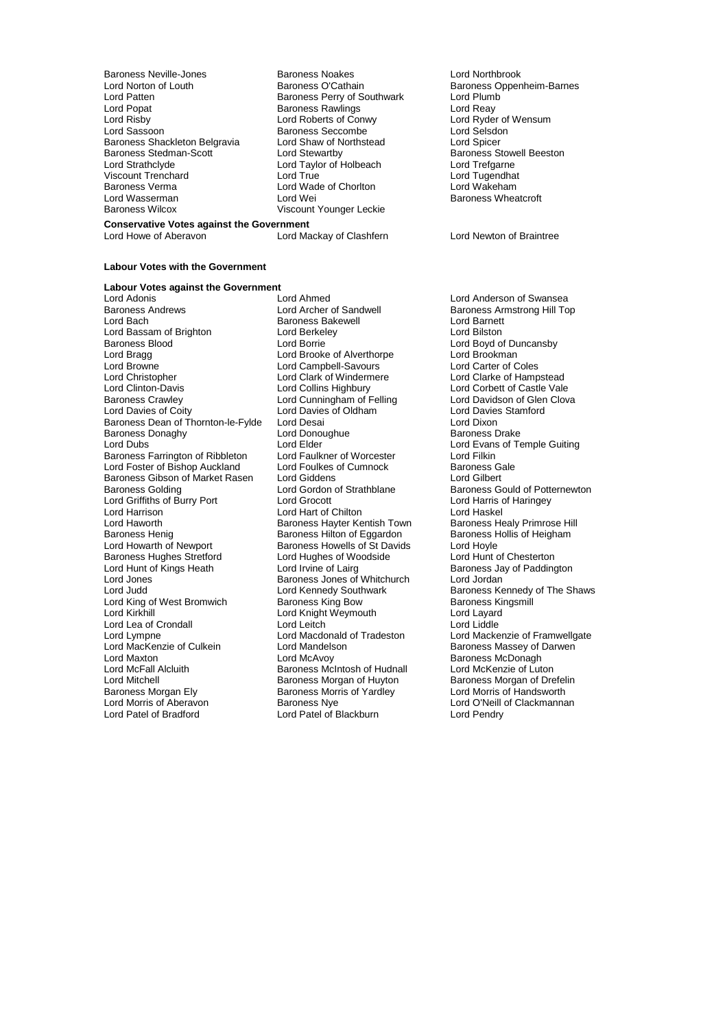Baroness Neville-Jones **Baroness Noakes** Lord Northbrook<br>
Lord Norton of Louth **Baroness O'Cathain** Baroness Opper Lord Norton of Louth **Baroness O'Cathain** Baroness Oppenheim-Barnes<br>
Lord Patten **Baroness Perry of Southwark** Lord Plumb Lord Patten **Communist Communist Baroness Perry of Southwark** Lord Plumb<br>
Lord Popat **Communist Baroness Rawlings** Lord Reay Lord Popat **Baroness Rawlings**<br>
Lord Risby **Baroness Rawlings**<br>
Lord Roberts of Conwy Lord Risby Lord Roberts of Conwy Lord Ryder of Wensum **Baroness Shackleton Belgravia**<br>Baroness Stedman-Scott Baroness Stedman-Scott<br>
Baroness Stedman-Scott<br>
Lord Stewartby Baroness Stowell Beeston<br>
Lord Strathclyde Lord Taylor of Holbeach Lord Trefgarne Viscount Trenchard Lord True Lord Tugendhat www.community.community.community.community.community.community.community.community.community.community.commun<br>Lord Wasserman Lord Wei Lord Wasserman Lord Wei Communication Baroness Wheatcroft<br>
Baroness Wilcox Clicos Communication Communication Communication Clicosum Communication Clicosum Clicosum Cli<br>
Clicosum Clicosum Clicosum Clicosum Clicosum Clicosu

Exercise Seccombe Lord Selsdon<br>
Lord Shaw of Northstead<br>
Lord Spicer Lord Taylor of Holbeach Lord Trefgarne<br>Lord True Lord Tugendhat Viscount Younger Leckie

### **Conservative Votes against the Government**<br>Lord Howe of Aberavon Lord Ma

Lord Mackay of Clashfern Lord Newton of Braintree

#### **Labour Votes with the Government**

**Labour Votes against the Government** Lord Adonis The Lord Andel Lord Ahmed Lord Anderson of Swansea<br>Baroness Andrews The Lord Archer of Sandwell The Baroness Armstrong Hill To Lord Bach **Baroness Bakewell**<br>
Lord Bassam of Brighton **Baroness Bakewell**<br>
Lord Bassam of Brighton **Baroness Bakewell** Lord Bassam of Brighton Lord Berkel<br>Baroness Blood Cord Borrie Baroness Blood <sup>T</sup> and Borrie Lord Borrie Cord Borrie Cord Borokess Blood Cord Borokess Lord Brookman<br>
Lord Brookes Cord Brooke of Alverthorpe Lord Brookman Lord Bragg Lord Brooke of Alverthorpe Lord Brookman<br>
Lord Brookman<br>
Lord Browne Lord Campbell-Savours Lord Carter of Coles Lord Browne **Lord Campbell-Savours**<br>
Lord Christopher **Lord Clark of Windermere** Lord Christopher **Lord Clark of Windermere** Lord Clarke of Hampstead<br>Lord Clinton-Davis **Lord Colling Highbury** Lord Corbett of Castle Vale Lord Clinton-Davis Lord Collins Highbury Lord Corbett of Castle Vale<br>
Baroness Crawley Lord Corner Lord Corbett of Castle Vale<br>
Lord Cunningham of Felling Lord Davidson of Glen Clova Baroness Crawley **Caroness Crawley** Lord Cunningham of Felling **Lord Davidson of Glen**<br>
Lord Davies of Coity **Colovat Clovation Coloration**<br>
Lord Davies Stamford Baroness Dean of Thornton-le-Fylde Lord Desai Lord Dixon Baroness Donaghy Lord Dono<br>
Lord Dubs<br>
Lord Dubs Baroness Farrington of Ribbleton Lord Faulkner of Worcester Lord Filkin<br>Lord Foster of Bishop Auckland Lord Foulkes of Cumnock Baroness Gale Lord Foster of Bishop Auckland Lord Foulkes of Cumnock Baroness Galendary<br>Baroness Gibson of Market Rasen Lord Giddens Lord Gilbert Baroness Gibson of Market Rasen<br>
Baroness Gibson of Market Rasen<br>
Lord Gordon of Strathblane Lord Griffiths of Burry Port Lord Grocott Lord Harris Lord Harris (2014)<br>
Lord Harris Lord Harris Lord Harris Lord Haskel Lord Harrison Lord Harrison Lord Harrison Lord Harrison Lord Haskel<br>
Lord Haworth Baroness Hayter Kentish Town Baroness Healy Primrose Hill Lord Haworth **Baroness Hayter Kentish Town** Baroness Healy Primrose Hill<br>Baroness Henig **Baroness Hillton of Eggardon** Baroness Hollis of Heigham Baroness Henig Baroness Hilton of Eggardon Baroness Henighted Baroness Hollis Caroness Howells of St Davids Baroness Howells of St Davids Baroness Hughes Stretford<br>
Lord Hughes of Woodside Lord Hughes of Woodside Lord Hunt of Kings Heath<br>
Lord Irvine of Lairg Lord Hunt of Kings Heath Lord Irvine of Lairg Baroness Jay of Paddington<br>
Lord Jones Baroness Jones of Whitchurch Lord Jordan Lord Jones **Contains Container Baroness Jones of Whitchurch Lord Judd**<br>
Lord Judd **Container Lord Kennedy Southwark** Lord King of West Bromwich Baroness King Bow Baroness King Bow Baroness King Bow Baroness King Bow Baroness King<br>Lord Kirkhill Lord Layard Lord Lea of Crondall Lord Leitch<br>
Lord Lympne Lord Macdonald of Tradeston Lord Lympne Lord Macdonald of Tradeston Lord Mackenzie of Framwellgate<br>
Lord Mackenzie of Culkein Lord Mandelson Baroness Massev of Darwen Lord MacKenzie of Culkein **Lord Mandelson** Baroness Massey of Darwen<br>Lord Maxton **Baroness McDonagh**<br>Baroness McDonagh Lord Maxton Lord McAvoy Baroness McDonagh Lord McFall Alcluith Baroness McIntosh of Hudnall Lord McKenzie of Luton Lord Mitchell **Corresponsitions**<br>
Baroness Morgan of Drefel<br>
Baroness Morgan Club Baroness Morris of Yardley<br>
Lord Morris of Handsworth Baroness Morgan Ely Baroness Morris of Yardley<br>
Lord Morris of Aberavon<br>
Baroness Nye Lord Morris of Aberavon **Baroness Nye** Lord O'Neill of Clackmannan<br>
Lord Patel of Bradford Lord Patel of Blackburn Lord Pendry

Lord Davies of Oldham Lord Davies Cord Davies Cord Davies Cord Davies Cord Dixon Exponess Howells of St Davids Lord Hoyle<br>
Lord Hunter Baroness of Woodside Lord Hunt of Chesterton Lord Knight Weymouth Lord Layard<br>
Lord Leitch Lord Liddle Lord Patel of Blackburn

Baroness Armstrong Hill Top<br>Lord Barnett Lord Elder The Lord Evans of Temple Guiting<br>
Lord Eaulkner of Worcester<br>
Lord Filkin Lord Gordon of Strathblane Baroness Gould of Potternewton<br>
Lord Grocott **Baron Cord Harris of Haringey** Lord Kennedy Southwark **Baroness Kennedy of The Shaws**<br>Baroness King Bow **Baroness Kingsmill**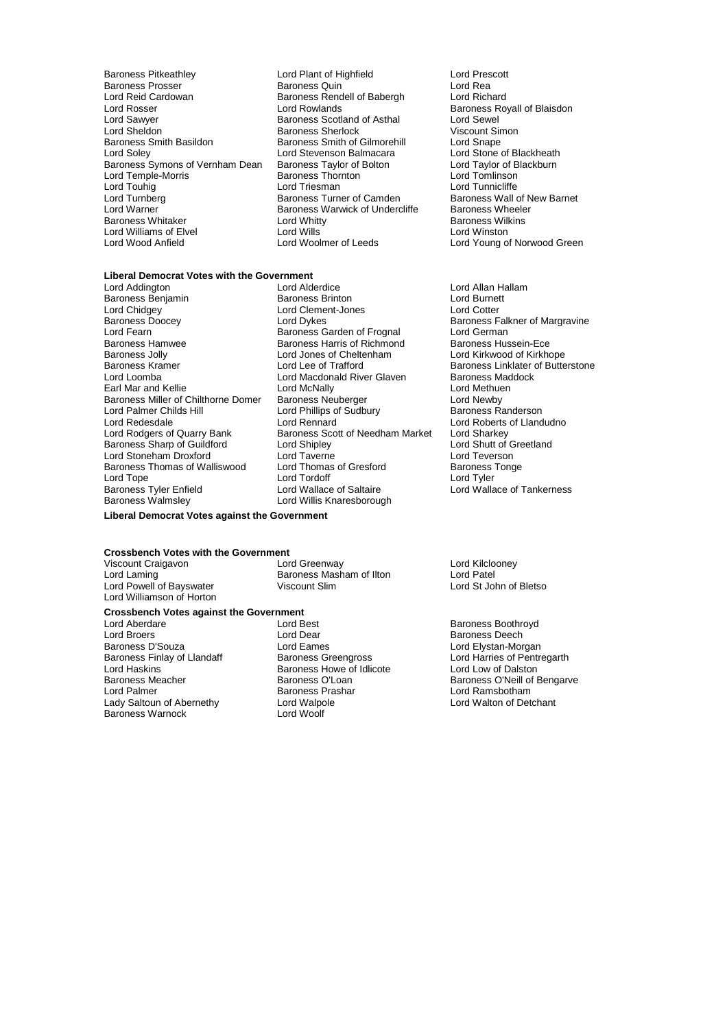- Baroness Pitkeathley Lord Plant of Highfield Lord Prescott Baroness Prosser (Exercise School Baroness Quin Cord Read and Read Lord Read Lord Richard<br>Baroness Rendell of Babergh (Exercise Lord Richard) Lord Reid Cardowan Baroness Rendell of Babergh<br>Lord Rosser Lord Rosser Lord Rowlands Baroness Royall of Blaisdon<br>
Lord Sawver Baroness Scotland of Asthal Lord Sewel Lord Sawyer Baroness Scotland of Asthal Lord Sewel Lord Sheldon **Baroness Sherlock** Viscount Simoness Sherlock Viscount Simoness Sherlock Viscount Simoness Smith of Gilmorehill Lord Shape Lord Soley **Lord Stevenson Balmacara** Lord Stone of Blackheath<br>Baroness Symons of Vernham Dean Baroness Taylor of Bolton Lord Taylor of Blackburn Baroness Symons of Vernham Dean Baroness Taylor of Bolton Lord Taylor of B<br>Lord Temple-Morris Baroness Thornton Lord Tomlinson Lord Temple-Morris Baroness Thornton Lord Tomlinson Lord Touhig<br>
Lord Turnberg<br>
Lord Turnberg<br>
Lord Turnberg Lord Turnberg Baroness Turner of Camden Baroness Wall of New Barnet Baroness Whitaker Lord Whitty **Baroness Whitaker Lord Whitty**<br>
Lord Williams of Elvel Lord Willis **Baroness Williams of Elvel** Lord Williams of Elvel **Lord Wills**<br>
Lord Wood Anfield **Lord Woolmer of Leeds** 
	- Baroness Smith of Gilmorehill<br>
	Lord Snape<br>
	Lord Stevenson Balmacara<br>
	Lord Stone of Blackheath Baroness Warwick of Undercliffe Baroness Wheele<br>Lord Whitty Baroness Wilkins

## **Liberal Democrat Votes with the Government**

- Baroness Benjamin Baroness Brinton Lord Burnett Baroness Doocey **Reading Corporation** Lord Dykes **Baroness Falkner of Margravine**<br>
Lord Fearn **Baroness Garden of Frognal** Lord German Lord Fearn Theory of the State Baroness Garden of Frognal Theory Lord German<br>Baroness Hamwee Theory Baroness Harris of Richmond The Baroness Hussein-Ece Baroness Hamwee **Baroness Harris of Richmond** Baroness Hussein-Ece<br>Baroness Jolly **Baroness Harris Connect Cheltenham** Lord Kirkwood of Kirkhope Baroness Jolly Lord Jones of Cheltenham<br>Baroness Kramer Lord Lord Lee of Trafford Paroness Kramer The Lord Lee of Trafford Baroness Linklater of Butterstone<br>
Lord Lord Macdonald River Glaven Baroness Maddock<br>
Lord Loomba Earl Mar and Kellie Lord McNally Lord McNally Lord Methuen Lord McNally Lord Methuen Baroness Neuberger Lord Newby Baroness Miller of Chilthorne Domer<br>
Lord Mewby<br>
Lord Palmer Childs Hill<br>
Lord Palmer Childs Hill<br>
Lord Phillips of Sudbury<br>
Baroness Randerson Lord Palmer Childs Hill **Lord Phillips of Sudbury Lord Redesdale**<br>
Lord Redesdale **Baroness Randers** Lord Rennard Lord Redesdale Lord Rennard Lord Roberts of Llandudno<br>
Lord Rodgers of Quarry Bank Baroness Scott of Needham Market Lord Sharkey<br>
Baroness Sharp of Guildford Lord Shipley Lord Shutt of Greetland Baroness Sharp of Guildford Lord Shipley<br>
Lord Stoneham Droxford Lord Taverne Lord Teverson Lord Stoneham Droxford Lord Taverne Lord Teverson **Baroness Thomas of Walliswood Lord Thomas I ord Tonger** Lord Tope Lord Tordoff Lord Tyler Baroness Tyler Enfield **Lord Wallace of Saltaire** Lord Wallace of Tankerness<br>Baroness Walmsley **Lord Willis Knaresborough**
- Lord Alderdice<br>
Baroness Brinton **Lord Burnett**<br>
Lord Burnett Lord Clement-Jones Lord Macdonald River Glaven Baroness Mac<br>
Lord McNally Baroness Mac Baroness Scott of Needham Market<br>Lord Shipley Lord Willis Knaresborough

Lord Young of Norwood Green

**Liberal Democrat Votes against the Government**

**Crossbench Votes with the Government**<br>Viscount Craigavon **Lord Greenway** Viscount Craigavon **Viscount Craigavon** Lord Greenway **Lord Craigavon** Lord Care Lord Care Lord Care Lord Patel<br>
Lord Laming Core Care Baroness Masham of Ilton Lord Patel Lord Powell of Bayswater Lord Williamson of Horton

Baroness Masham of Ilton Lord Patel<br>
Viscount Slim Lord St John of Bletso

### **Crossbench Votes against the Government**<br> **Lord Aberdare Lord Best**

Lord Aberdare **Lord Best** Lord Best **Baroness Boothroyd**<br>
Lord Broers **Baroness Boothroyd**<br>
Lord Dear **Cord Broers** Baroness Deech Lord Broers Lord Dear Baroness Deech Baroness Finlay of Llandaff Baroness Greengross Lord Harries of Pentregarth<br>
Lord Haskins Lord Harries of Idlicote Lord Low of Dalston Lord Haskins de Lord Haskins Baroness Howe of Idlicote<br>Baroness Meacher Mess Baroness O'Loan The Unit Palmer Corollaness Prashar Corollaness Prashar Lord Ramsbotham<br>
Lady Saltoun of Abernethy Lord Walpole Corollaness Corollaness Corollaness Corollaness Corollaness Corollanes Lady Saltoun of Abernethy Lord Walpole Lord Walpole Baroness Warnock Baroness Warnock

Lord Elystan-Morgan Baroness O'Neill of Bengarve